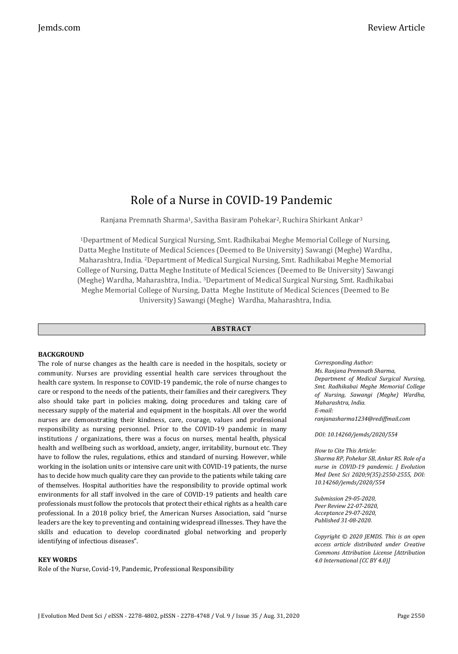# Role of a Nurse in COVID-19 Pandemic

Ranjana Premnath Sharma1, Savitha Basiram Pohekar2, Ruchira Shirkant Ankar<sup>3</sup>

<sup>1</sup>Department of Medical Surgical Nursing, Smt. Radhikabai Meghe Memorial College of Nursing, Datta Meghe Institute of Medical Sciences (Deemed to Be University) Sawangi (Meghe) Wardha, Maharashtra, India. <sup>2</sup>Department of Medical Surgical Nursing, Smt. Radhikabai Meghe Memorial College of Nursing, Datta Meghe Institute of Medical Sciences (Deemed to Be University) Sawangi (Meghe) Wardha, Maharashtra, India.. <sup>3</sup>Department of Medical Surgical Nursing, Smt. Radhikabai Meghe Memorial College of Nursing, Datta Meghe Institute of Medical Sciences (Deemed to Be University) Sawangi (Meghe) Wardha, Maharashtra, India.

# **ABS TR ACT**

## **BACKGROUND**

The role of nurse changes as the health care is needed in the hospitals, society or community. Nurses are providing essential health care services throughout the health care system. In response to COVID-19 pandemic, the role of nurse changes to care or respond to the needs of the patients, their families and their caregivers. They also should take part in policies making, doing procedures and taking care of necessary supply of the material and equipment in the hospitals. All over the world nurses are demonstrating their kindness, care, courage, values and professional responsibility as nursing personnel. Prior to the COVID-19 pandemic in many institutions / organizations, there was a focus on nurses, mental health, physical health and wellbeing such as workload, anxiety, anger, irritability, burnout etc. They have to follow the rules, regulations, ethics and standard of nursing. However, while working in the isolation units or intensive care unit with COVID-19 patients, the nurse has to decide how much quality care they can provide to the patients while taking care of themselves. Hospital authorities have the responsibility to provide optimal work environments for all staff involved in the care of COVID-19 patients and health care professionals must follow the protocols that protect their ethical rights as a health care professional. In a 2018 policy brief, the American Nurses Association, said "nurse leaders are the key to preventing and containing widespread illnesses. They have the skills and education to develop coordinated global networking and properly identifying of infectious diseases".

#### **KEY WORDS**

Role of the Nurse, Covid-19, Pandemic, Professional Responsibility

*Corresponding Author: Ms. Ranjana Premnath Sharma, Department of Medical Surgical Nursing, Smt. Radhikabai Meghe Memorial College of Nursing, Sawangi (Meghe) Wardha, Maharashtra, India. E-mail: ranjanasharma1234@rediffmail.com*

*DOI: 10.14260/jemds/2020/554*

*How to Cite This Article: Sharma RP, Pohekar SB, Ankar RS. Role of a nurse in COVID-19 pandemic. J Evolution Med Dent Sci 2020;9(35):2550-2555, DOI: 10.14260/jemds/2020/554*

*Submission 29-05-2020, Peer Review 22-07-2020, Acceptance 29-07-2020, Published 31-08-2020.*

*Copyright © 2020 JEMDS. This is an open access article distributed under Creative Commons Attribution License [Attribution 4.0 International (CC BY 4.0)]*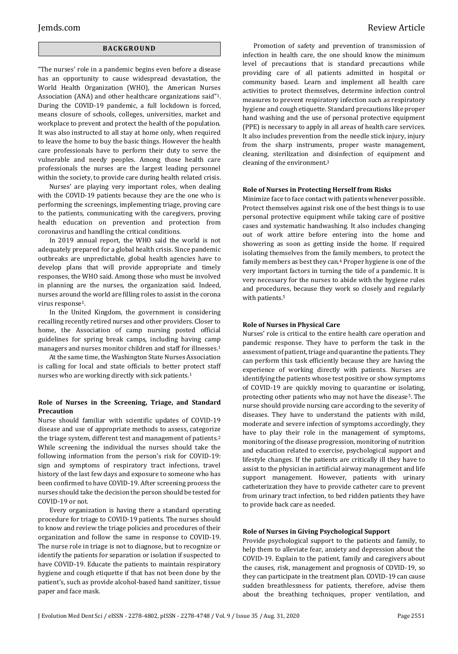# **BACK GR O U ND**

"The nurses' role in a pandemic begins even before a disease has an opportunity to cause widespread devastation, the World Health Organization (WHO), the American Nurses Association (ANA) and other healthcare organizations said"1. During the COVID-19 pandemic, a full lockdown is forced, means closure of schools, colleges, universities, market and workplace to prevent and protect the health of the population. It was also instructed to all stay at home only, when required to leave the home to buy the basic things. However the health care professionals have to perform their duty to serve the vulnerable and needy peoples. Among those health care professionals the nurses are the largest leading personnel within the society, to provide care during health related crisis.

Nurses' are playing very important roles, when dealing with the COVID-19 patients because they are the one who is performing the screenings, implementing triage, proving care to the patients, communicating with the caregivers, proving health education on prevention and protection from coronavirus and handling the critical conditions.

In 2019 annual report, the WHO said the world is not adequately prepared for a global health crisis. Since pandemic outbreaks are unpredictable, global health agencies have to develop plans that will provide appropriate and timely responses, the WHO said. Among those who must be involved in planning are the nurses, the organization said. Indeed, nurses around the world are filling roles to assist in the corona virus response1.

In the United Kingdom, the government is considering recalling recently retired nurses and other providers. Closer to home, the Association of camp nursing posted official guidelines for spring break camps, including having camp managers and nurses monitor children and staff for illnesses.<sup>1</sup>

At the same time, the Washington State Nurses Association is calling for local and state officials to better protect staff nurses who are working directly with sick patients.<sup>1</sup>

### **Role of Nurses in the Screening, Triage, and Standard Precaution**

Nurse should familiar with scientific updates of COVID-19 disease and use of appropriate methods to assess, categorize the triage system, different test and management of patients.<sup>2</sup> While screening the individual the nurses should take the following information from the person's risk for COVID-19: sign and symptoms of respiratory tract infections, travel history of the last few days and exposure to someone who has been confirmed to have COVID-19. After screening process the nurses should take the decision the person should be tested for COVID-19 or not.

Every organization is having there a standard operating procedure for triage to COVID-19 patients. The nurses should to know and review the triage policies and procedures of their organization and follow the same in response to COVID-19. The nurse role in triage is not to diagnose, but to recognize or identify the patients for separation or isolation if suspected to have COVID-19. Educate the patients to maintain respiratory hygiene and cough etiquette if that has not been done by the patient's, such as provide alcohol-based hand sanitizer, tissue paper and face mask.

Promotion of safety and prevention of transmission of infection in health care, the one should know the minimum level of precautions that is standard precautions while providing care of all patients admitted in hospital or community based. Learn and implement all health care activities to protect themselves, determine infection control measures to prevent respiratory infection such as respiratory hygiene and cough etiquette. Standard precautions like proper hand washing and the use of personal protective equipment (PPE) is necessary to apply in all areas of health care services. It also includes prevention from the needle stick injury, injury from the sharp instruments, proper waste management, cleaning, sterilization and disinfection of equipment and cleaning of the environment.<sup>3</sup>

#### **Role of Nurses in Protecting Herself from Risks**

Minimize face to face contact with patients whenever possible. Protect themselves against risk one of the best things is to use personal protective equipment while taking care of positive cases and systematic handwashing. It also includes changing out of work attire before entering into the home and showering as soon as getting inside the home. If required isolating themselves from the family members, to protect the family members as best they can.<sup>4</sup> Proper hygiene is one of the very important factors in turning the tide of a pandemic. It is very necessary for the nurses to abide with the hygiene rules and procedures, because they work so closely and regularly with patients.<sup>5</sup>

#### **Role of Nurses in Physical Care**

Nurses' role is critical to the entire health care operation and pandemic response. They have to perform the task in the assessment of patient, triage and quarantine the patients. They can perform this task efficiently because they are having the experience of working directly with patients. Nurses are identifying the patients whose test positive or show symptoms of COVID-19 are quickly moving to quarantine or isolating, protecting other patients who may not have the disease<sup>5</sup>. The nurse should provide nursing care according to the severity of diseases. They have to understand the patients with mild, moderate and severe infection of symptoms accordingly, they have to play their role in the management of symptoms, monitoring of the disease progression, monitoring of nutrition and education related to exercise, psychological support and lifestyle changes. If the patients are critically ill they have to assist to the physician in artificial airway management and life support management. However, patients with urinary catheterization they have to provide catheter care to prevent from urinary tract infection, to bed ridden patients they have to provide back care as needed.

#### **Role of Nurses in Giving Psychological Support**

Provide psychological support to the patients and family, to help them to alleviate fear, anxiety and depression about the COVID-19. Explain to the patient, family and caregivers about the causes, risk, management and prognosis of COVID-19, so they can participate in the treatment plan. COVID-19 can cause sudden breathlessness for patients, therefore, advise them about the breathing techniques, proper ventilation, and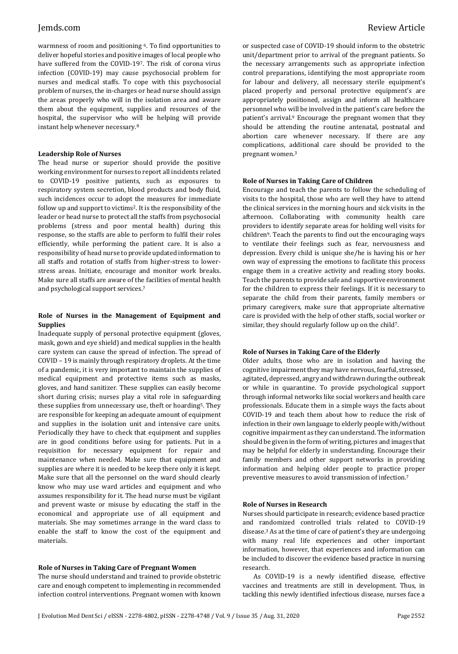warmness of room and positioning 6. To find opportunities to deliver hopeful stories and positive images of local people who have suffered from the COVID-197. The risk of corona virus infection (COVID-19) may cause psychosocial problem for nurses and medical staffs. To cope with this psychosocial problem of nurses, the in-charges or head nurse should assign the areas properly who will in the isolation area and aware them about the equipment, supplies and resources of the hospital, the supervisor who will be helping will provide instant help whenever necessary.<sup>8</sup>

### **Leadership Role of Nurses**

The head nurse or superior should provide the positive working environment for nurses to report all incidents related to COVID-19 positive patients, such as exposures to respiratory system secretion, blood products and body fluid, such incidences occur to adopt the measures for immediate follow up and support to victims2. It is the responsibility of the leader or head nurse to protect all the staffs from psychosocial problems (stress and poor mental health) during this response, so the staffs are able to perform to fulfil their roles efficiently, while performing the patient care. It is also a responsibility of head nurse to provide updated information to all staffs and rotation of staffs from higher-stress to lowerstress areas. Initiate, encourage and monitor work breaks. Make sure all staffs are aware of the facilities of mental health and psychological support services.<sup>7</sup>

# **Role of Nurses in the Management of Equipment and Supplies**

Inadequate supply of personal protective equipment (gloves, mask, gown and eye shield) and medical supplies in the health care system can cause the spread of infection. The spread of COVID – 19 is mainly through respiratory droplets. At the time of a pandemic, it is very important to maintain the supplies of medical equipment and protective items such as masks, gloves, and hand sanitizer. These supplies can easily become short during crisis; nurses play a vital role in safeguarding these supplies from unnecessary use, theft or hoarding<sup>5</sup>. They are responsible for keeping an adequate amount of equipment and supplies in the isolation unit and intensive care units. Periodically they have to check that equipment and supplies are in good conditions before using for patients. Put in a requisition for necessary equipment for repair and maintenance when needed. Make sure that equipment and supplies are where it is needed to be keep there only it is kept. Make sure that all the personnel on the ward should clearly know who may use ward articles and equipment and who assumes responsibility for it. The head nurse must be vigilant and prevent waste or misuse by educating the staff in the economical and appropriate use of all equipment and materials. She may sometimes arrange in the ward class to enable the staff to know the cost of the equipment and materials.

# **Role of Nurses in Taking Care of Pregnant Women**

The nurse should understand and trained to provide obstetric care and enough competent to implementing in recommended infection control interventions. Pregnant women with known or suspected case of COVID-19 should inform to the obstetric unit/department prior to arrival of the pregnant patients. So the necessary arrangements such as appropriate infection control preparations, identifying the most appropriate room for labour and delivery, all necessary sterile equipment's placed properly and personal protective equipment's are appropriately positioned, assign and inform all healthcare personnel who will be involved in the patient's care before the patient's arrival.<sup>9</sup> Encourage the pregnant women that they should be attending the routine antenatal, postnatal and abortion care whenever necessary. If there are any complications, additional care should be provided to the pregnant women.<sup>3</sup>

#### **Role of Nurses in Taking Care of Children**

Encourage and teach the parents to follow the scheduling of visits to the hospital, those who are well they have to attend the clinical services in the morning hours and sick visits in the afternoon. Collaborating with community health care providers to identify separate areas for holding well visits for children<sup>9</sup>. Teach the parents to find out the encouraging ways to ventilate their feelings such as fear, nervousness and depression. Every child is unique she/he is having his or her own way of expressing the emotions to facilitate this process engage them in a creative activity and reading story books. Teach the parents to provide safe and supportive environment for the children to express their feelings. If it is necessary to separate the child from their parents, family members or primary caregivers, make sure that appropriate alternative care is provided with the help of other staffs, social worker or similar, they should regularly follow up on the child7.

#### **Role of Nurses in Taking Care of the Elderly**

Older adults, those who are in isolation and having the cognitive impairment they may have nervous, fearful, stressed, agitated, depressed, angry and withdrawn during the outbreak or while in quarantine. To provide psychological support through informal networks like social workers and health care professionals. Educate them in a simple ways the facts about COVID-19 and teach them about how to reduce the risk of infection in their own language to elderly people with/without cognitive impairment as they can understand. The information should be given in the form of writing, pictures and images that may be helpful for elderly in understanding. Encourage their family members and other support networks in providing information and helping older people to practice proper preventive measures to avoid transmission of infection.<sup>7</sup>

#### **Role of Nurses in Research**

Nurses should participate in research; evidence based practice and randomized controlled trials related to COVID-19 disease.<sup>3</sup> As at the time of care of patient's they are undergoing with many real life experiences and other important information, however, that experiences and information can be included to discover the evidence based practice in nursing research.

As COVID-19 is a newly identified disease, effective vaccines and treatments are still in development. Thus, in tackling this newly identified infectious disease, nurses face a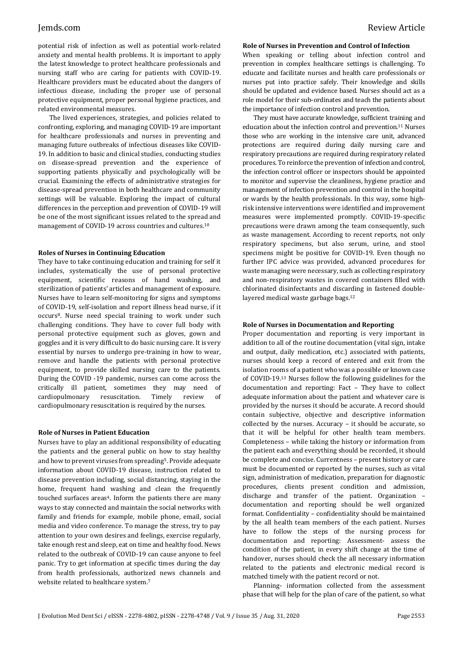potential risk of infection as well as potential work-related anxiety and mental health problems. It is important to apply the latest knowledge to protect healthcare professionals and nursing staff who are caring for patients with COVID-19. Healthcare providers must be educated about the dangers of infectious disease, including the proper use of personal protective equipment, proper personal hygiene practices, and related environmental measures.

The lived experiences, strategies, and policies related to confronting, exploring, and managing COVID-19 are important for healthcare professionals and nurses in preventing and managing future outbreaks of infectious diseases like COVID-19. In addition to basic and clinical studies, conducting studies on disease-spread prevention and the experience of supporting patients physically and psychologically will be crucial. Examining the effects of administrative strategies for disease-spread prevention in both healthcare and community settings will be valuable. Exploring the impact of cultural differences in the perception and prevention of COVID-19 will be one of the most significant issues related to the spread and management of COVID-19 across countries and cultures.<sup>10</sup>

### **Roles of Nurses in Continuing Education**

They have to take continuing education and training for self it includes, systematically the use of personal protective equipment, scientific reasons of hand washing, and sterilization of patients' articles and management of exposure. Nurses have to learn self-monitoring for signs and symptoms of COVID-19, self-isolation and report illness head nurse, if it occurs8. Nurse need special training to work under such challenging conditions. They have to cover full body with personal protective equipment such as gloves, gown and goggles and it is very difficult to do basic nursing care. It is very essential by nurses to undergo pre-training in how to wear, remove and handle the patients with personal protective equipment, to provide skilled nursing care to the patients. During the COVID -19 pandemic, nurses can come across the critically ill patient, sometimes they may need of cardiopulmonary resuscitation. Timely review of cardiopulmonary resuscitation is required by the nurses.

#### **Role of Nurses in Patient Education**

Nurses have to play an additional responsibility of educating the patients and the general public on how to stay healthy and how to prevent viruses from spreading5. Provide adequate information about COVID-19 disease, instruction related to disease prevention including, social distancing, staying in the home, frequent hand washing and clean the frequently touched surfaces areas4. Inform the patients there are many ways to stay connected and maintain the social networks with family and friends for example, mobile phone, email, social media and video conference. To manage the stress, try to pay attention to your own desires and feelings, exercise regularly, take enough rest and sleep, eat on time and healthy food. News related to the outbreak of COVID-19 can cause anyone to feel panic. Try to get information at specific times during the day from health professionals, authorized news channels and website related to healthcare system.<sup>7</sup>

# **Role of Nurses in Prevention and Control of Infection**

When speaking or telling about infection control and prevention in complex healthcare settings is challenging. To educate and facilitate nurses and health care professionals or nurses put into practice safely. Their knowledge and skills should be updated and evidence based. Nurses should act as a role model for their sub-ordinates and teach the patients about the importance of infection control and prevention.

They must have accurate knowledge, sufficient training and education about the infection control and prevention.<sup>11</sup> Nurses those who are working in the intensive care unit, advanced protections are required during daily nursing care and respiratory precautions are required during respiratory related procedures. To reinforce the prevention of infection and control, the infection control officer or inspectors should be appointed to monitor and supervise the cleanliness, hygiene practice and management of infection prevention and control in the hospital or wards by the health professionals. In this way, some highrisk intensive interventions were identified and improvement measures were implemented promptly. COVID-19-specific precautions were drawn among the team consequently, such as waste management. According to recent reports, not only respiratory specimens, but also serum, urine, and stool specimens might be positive for COVID-19. Even though no further IPC advice was provided, advanced procedures for waste managing were necessary, such as collecting respiratory and non-respiratory wastes in covered containers filled with chlorinated disinfectants and discarding in fastened doublelayered medical waste garbage bags.<sup>12</sup>

#### **Role of Nurses in Documentation and Reporting**

Proper documentation and reporting is very important in addition to all of the routine documentation (vital sign, intake and output, daily medication, etc.) associated with patients, nurses should keep a record of entered and exit from the isolation rooms of a patient who was a possible or known case of COVID-19.<sup>13</sup> Nurses follow the following guidelines for the documentation and reporting: Fact – They have to collect adequate information about the patient and whatever care is provided by the nurses it should be accurate. A record should contain subjective, objective and descriptive information collected by the nurses. Accuracy – it should be accurate, so that it will be helpful for other health team members. Completeness – while taking the history or information from the patient each and everything should be recorded, it should be complete and concise. Currentness – present history or care must be documented or reported by the nurses, such as vital sign, administration of medication, preparation for diagnostic procedures, clients present condition and admission, discharge and transfer of the patient. Organization – documentation and reporting should be well organized format. Confidentiality – confidentiality should be maintained by the all health team members of the each patient. Nurses have to follow the steps of the nursing process for documentation and reporting: Assessment- assess the condition of the patient, in every shift change at the time of handover, nurses should check the all necessary information related to the patients and electronic medical record is matched timely with the patient record or not.

Planning- information collected from the assessment phase that will help for the plan of care of the patient, so what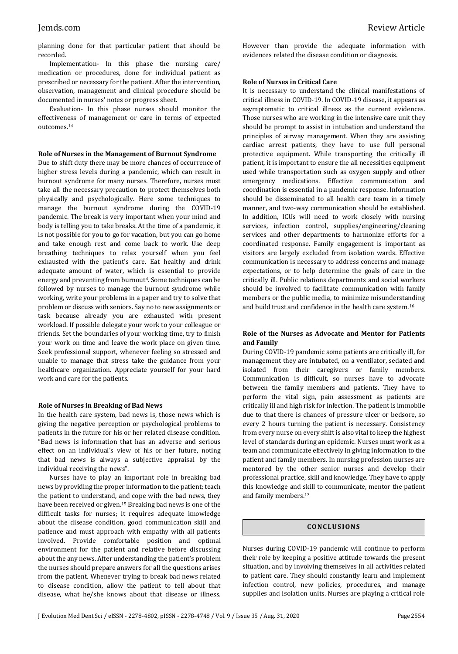planning done for that particular patient that should be recorded.

Implementation- In this phase the nursing care/ medication or procedures, done for individual patient as prescribed or necessary for the patient. After the intervention, observation, management and clinical procedure should be documented in nurses' notes or progress sheet.

Evaluation- In this phase nurses should monitor the effectiveness of management or care in terms of expected outcomes.<sup>14</sup>

#### **Role of Nurses in the Management of Burnout Syndrome**

Due to shift duty there may be more chances of occurrence of higher stress levels during a pandemic, which can result in burnout syndrome for many nurses. Therefore, nurses must take all the necessary precaution to protect themselves both physically and psychologically. Here some techniques to manage the burnout syndrome during the COVID-19 pandemic. The break is very important when your mind and body is telling you to take breaks. At the time of a pandemic, it is not possible for you to go for vacation, but you can go home and take enough rest and come back to work. Use deep breathing techniques to relax yourself when you feel exhausted with the patient's care. Eat healthy and drink adequate amount of water, which is essential to provide energy and preventing from burnout<sup>4</sup>. Some techniques can be followed by nurses to manage the burnout syndrome while working, write your problems in a paper and try to solve that problem or discuss with seniors. Say no to new assignments or task because already you are exhausted with present workload. If possible delegate your work to your colleague or friends. Set the boundaries of your working time, try to finish your work on time and leave the work place on given time. Seek professional support, whenever feeling so stressed and unable to manage that stress take the guidance from your healthcare organization. Appreciate yourself for your hard work and care for the patients.

#### **Role of Nurses in Breaking of Bad News**

In the health care system, bad news is, those news which is giving the negative perception or psychological problems to patients in the future for his or her related disease condition. "Bad news is information that has an adverse and serious effect on an individual's view of his or her future, noting that bad news is always a subjective appraisal by the individual receiving the news".

Nurses have to play an important role in breaking bad news by providing the proper information to the patient; teach the patient to understand, and cope with the bad news, they have been received or given. <sup>15</sup> Breaking bad news is one of the difficult tasks for nurses; it requires adequate knowledge about the disease condition, good communication skill and patience and must approach with empathy with all patients involved. Provide comfortable position and optimal environment for the patient and relative before discussing about the any news. After understanding the patient's problem the nurses should prepare answers for all the questions arises from the patient. Whenever trying to break bad news related to disease condition, allow the patient to tell about that disease, what he/she knows about that disease or illness. However than provide the adequate information with evidences related the disease condition or diagnosis.

#### **Role of Nurses in Critical Care**

It is necessary to understand the clinical manifestations of critical illness in COVID-19. In COVID-19 disease, it appears as asymptomatic to critical illness as the current evidences. Those nurses who are working in the intensive care unit they should be prompt to assist in intubation and understand the principles of airway management. When they are assisting cardiac arrest patients, they have to use full personal protective equipment. While transporting the critically ill patient, it is important to ensure the all necessities equipment used while transportation such as oxygen supply and other emergency medications. Effective communication and coordination is essential in a pandemic response. Information should be disseminated to all health care team in a timely manner, and two-way communication should be established. In addition, ICUs will need to work closely with nursing services, infection control, supplies/engineering/cleaning services and other departments to harmonize efforts for a coordinated response. Family engagement is important as visitors are largely excluded from isolation wards. Effective communication is necessary to address concerns and manage expectations, or to help determine the goals of care in the critically ill. Public relations departments and social workers should be involved to facilitate communication with family members or the public media, to minimize misunderstanding and build trust and confidence in the health care system.<sup>16</sup>

# **Role of the Nurses as Advocate and Mentor for Patients and Family**

During COVID-19 pandemic some patients are critically ill, for management they are intubated, on a ventilator, sedated and isolated from their caregivers or family members. Communication is difficult, so nurses have to advocate between the family members and patients. They have to perform the vital sign, pain assessment as patients are critically ill and high risk for infection. The patient is immobile due to that there is chances of pressure ulcer or bedsore, so every 2 hours turning the patient is necessary. Consistency from every nurse on every shift is also vital to keep the highest level of standards during an epidemic. Nurses must work as a team and communicate effectively in giving information to the patient and family members. In nursing profession nurses are mentored by the other senior nurses and develop their professional practice, skill and knowledge. They have to apply this knowledge and skill to communicate, mentor the patient and family members.<sup>13</sup>

# **CONC LU S ION S**

Nurses during COVID-19 pandemic will continue to perform their role by keeping a positive attitude towards the present situation, and by involving themselves in all activities related to patient care. They should constantly learn and implement infection control, new policies, procedures, and manage supplies and isolation units. Nurses are playing a critical role